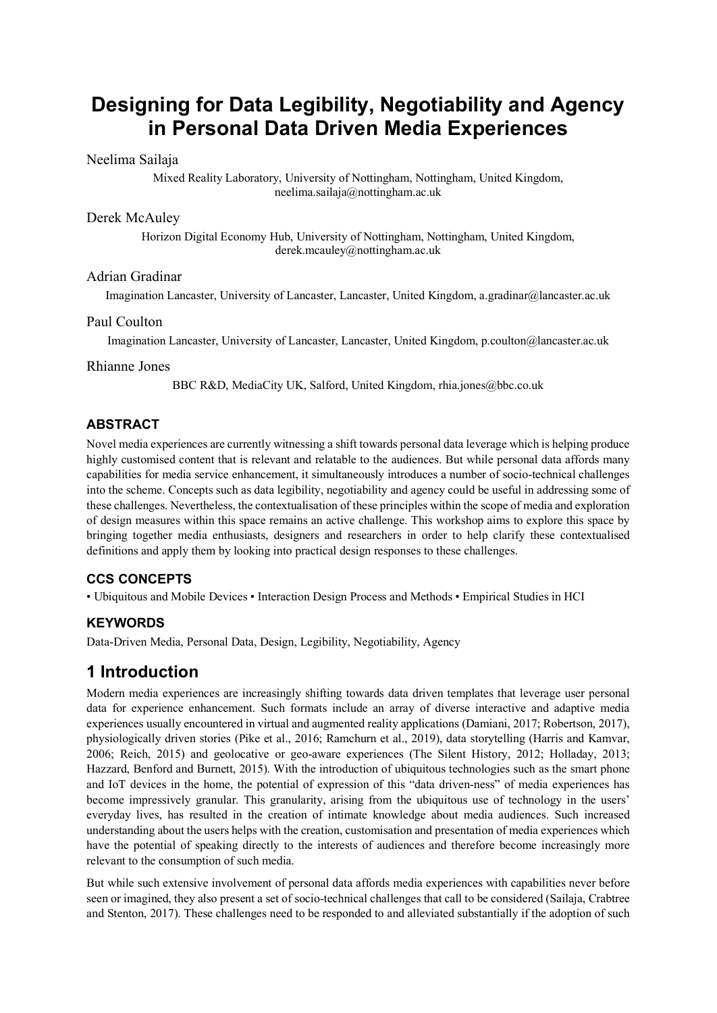# **Designing for Data Legibility, Negotiability and Agency in Personal Data Driven Media Experiences**

#### Neelima Sailaja

Mixed Reality Laboratory, University of Nottingham, Nottingham, United Kingdom, neelima.sailaja@nottingham.ac.uk

#### Derek McAuley

Horizon Digital Economy Hub, University of Nottingham, Nottingham, United Kingdom, derek.mcauley@nottingham.ac.uk

#### Adrian Gradinar

Imagination Lancaster, University of Lancaster, Lancaster, United Kingdom, a.gradinar@lancaster.ac.uk

#### Paul Coulton

Imagination Lancaster, University of Lancaster, Lancaster, United Kingdom, p.coulton@lancaster.ac.uk

#### Rhianne Jones

BBC R&D, MediaCity UK, Salford, United Kingdom, rhia.jones@bbc.co.uk

### **ABSTRACT**

Novel media experiences are currently witnessing a shift towards personal data leverage which is helping produce highly customised content that is relevant and relatable to the audiences. But while personal data affords many capabilities for media service enhancement, it simultaneously introduces a number of socio-technical challenges into the scheme. Concepts such as data legibility, negotiability and agency could be useful in addressing some of these challenges. Nevertheless, the contextualisation of these principles within the scope of media and exploration of design measures within this space remains an active challenge. This workshop aims to explore this space by bringing together media enthusiasts, designers and researchers in order to help clarify these contextualised definitions and apply them by looking into practical design responses to these challenges.

### **CCS CONCEPTS**

• Ubiquitous and Mobile Devices • Interaction Design Process and Methods • Empirical Studies in HCI

### **KEYWORDS**

Data-Driven Media, Personal Data, Design, Legibility, Negotiability, Agency

## **1 Introduction**

Modern media experiences are increasingly shifting towards data driven templates that leverage user personal data for experience enhancement. Such formats include an array of diverse interactive and adaptive media experiences usually encountered in virtual and augmented reality applications (Damiani, 2017; Robertson, 2017), physiologically driven stories (Pike et al., 2016; Ramchurn et al., 2019), data storytelling (Harris and Kamvar, 2006; Reich, 2015) and geolocative or geo-aware experiences (The Silent History, 2012; Holladay, 2013; Hazzard, Benford and Burnett, 2015). With the introduction of ubiquitous technologies such as the smart phone and IoT devices in the home, the potential of expression of this "data driven-ness" of media experiences has become impressively granular. This granularity, arising from the ubiquitous use of technology in the users' everyday lives, has resulted in the creation of intimate knowledge about media audiences. Such increased understanding about the users helps with the creation, customisation and presentation of media experiences which have the potential of speaking directly to the interests of audiences and therefore become increasingly more relevant to the consumption of such media.

But while such extensive involvement of personal data affords media experiences with capabilities never before seen or imagined, they also present a set of socio-technical challenges that call to be considered (Sailaja, Crabtree and Stenton, 2017). These challenges need to be responded to and alleviated substantially if the adoption of such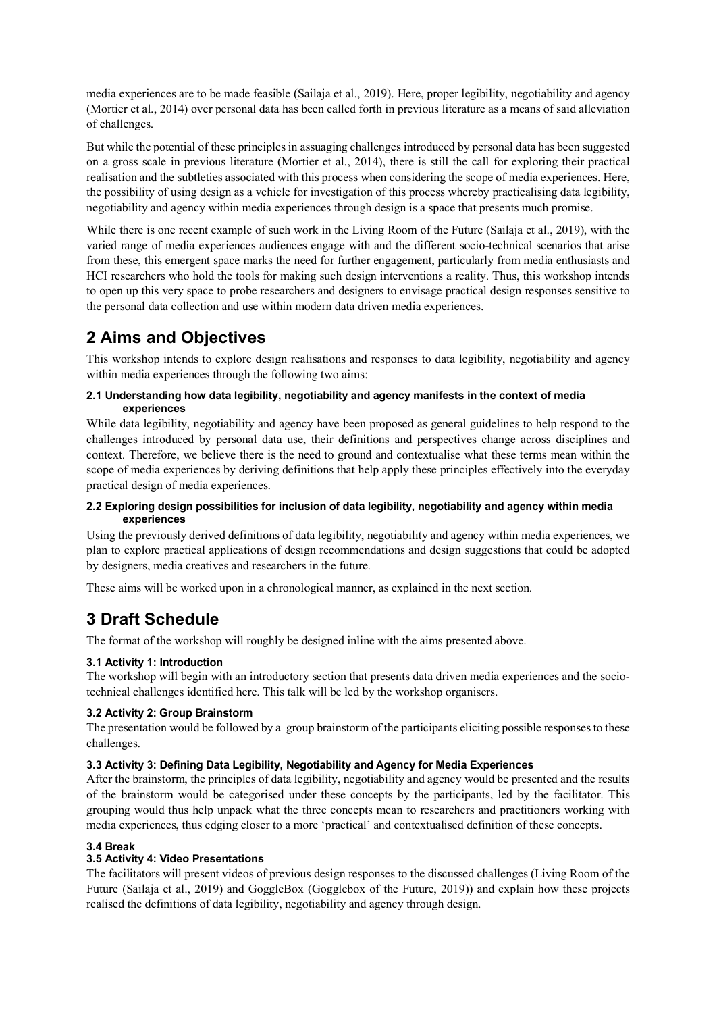media experiences are to be made feasible (Sailaja et al., 2019). Here, proper legibility, negotiability and agency (Mortier et al., 2014) over personal data has been called forth in previous literature as a means of said alleviation of challenges.

But while the potential of these principles in assuaging challenges introduced by personal data has been suggested on a gross scale in previous literature (Mortier et al., 2014), there is still the call for exploring their practical realisation and the subtleties associated with this process when considering the scope of media experiences. Here, the possibility of using design as a vehicle for investigation of this process whereby practicalising data legibility, negotiability and agency within media experiences through design is a space that presents much promise.

While there is one recent example of such work in the Living Room of the Future (Sailaja et al., 2019), with the varied range of media experiences audiences engage with and the different socio-technical scenarios that arise from these, this emergent space marks the need for further engagement, particularly from media enthusiasts and HCI researchers who hold the tools for making such design interventions a reality. Thus, this workshop intends to open up this very space to probe researchers and designers to envisage practical design responses sensitive to the personal data collection and use within modern data driven media experiences.

## **2 Aims and Objectives**

This workshop intends to explore design realisations and responses to data legibility, negotiability and agency within media experiences through the following two aims:

#### **2.1 Understanding how data legibility, negotiability and agency manifests in the context of media experiences**

While data legibility, negotiability and agency have been proposed as general guidelines to help respond to the challenges introduced by personal data use, their definitions and perspectives change across disciplines and context. Therefore, we believe there is the need to ground and contextualise what these terms mean within the scope of media experiences by deriving definitions that help apply these principles effectively into the everyday practical design of media experiences.

#### **2.2 Exploring design possibilities for inclusion of data legibility, negotiability and agency within media experiences**

Using the previously derived definitions of data legibility, negotiability and agency within media experiences, we plan to explore practical applications of design recommendations and design suggestions that could be adopted by designers, media creatives and researchers in the future.

These aims will be worked upon in a chronological manner, as explained in the next section.

## **3 Draft Schedule**

The format of the workshop will roughly be designed inline with the aims presented above.

#### **3.1 Activity 1: Introduction**

The workshop will begin with an introductory section that presents data driven media experiences and the sociotechnical challenges identified here. This talk will be led by the workshop organisers.

#### **3.2 Activity 2: Group Brainstorm**

The presentation would be followed by a group brainstorm of the participants eliciting possible responses to these challenges.

#### **3.3 Activity 3: Defining Data Legibility, Negotiability and Agency for Media Experiences**

After the brainstorm, the principles of data legibility, negotiability and agency would be presented and the results of the brainstorm would be categorised under these concepts by the participants, led by the facilitator. This grouping would thus help unpack what the three concepts mean to researchers and practitioners working with media experiences, thus edging closer to a more 'practical' and contextualised definition of these concepts.

#### **3.4 Break**

#### **3.5 Activity 4: Video Presentations**

The facilitators will present videos of previous design responses to the discussed challenges (Living Room of the Future (Sailaja et al., 2019) and GoggleBox (Gogglebox of the Future, 2019)) and explain how these projects realised the definitions of data legibility, negotiability and agency through design.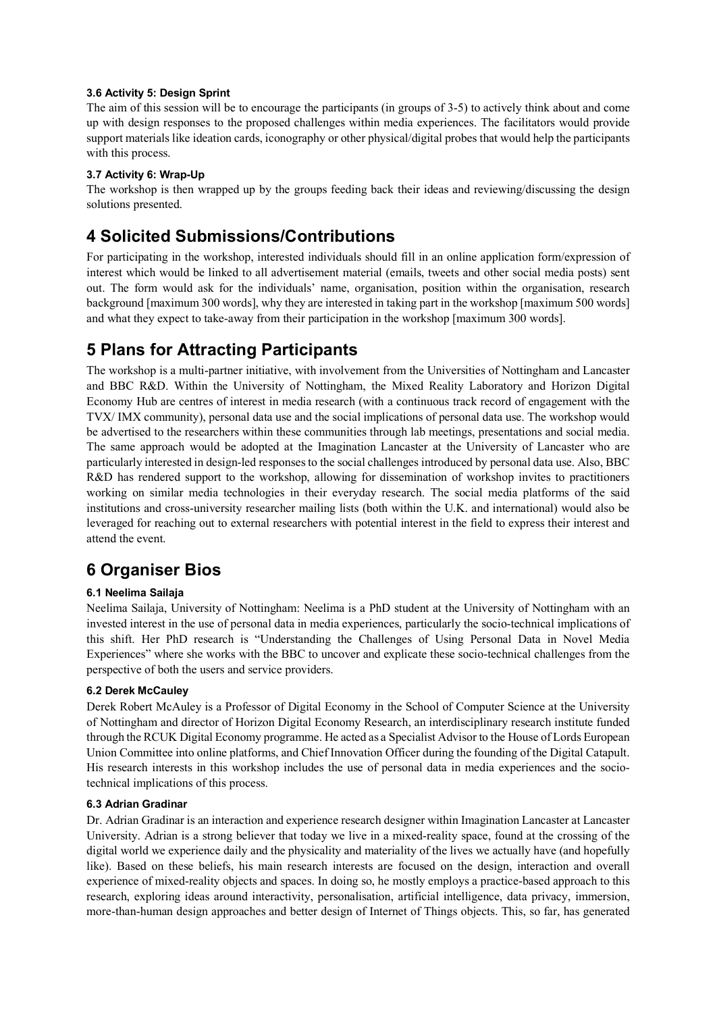#### **3.6 Activity 5: Design Sprint**

The aim of this session will be to encourage the participants (in groups of 3-5) to actively think about and come up with design responses to the proposed challenges within media experiences. The facilitators would provide support materials like ideation cards, iconography or other physical/digital probes that would help the participants with this process.

#### **3.7 Activity 6: Wrap-Up**

The workshop is then wrapped up by the groups feeding back their ideas and reviewing/discussing the design solutions presented.

### **4 Solicited Submissions/Contributions**

For participating in the workshop, interested individuals should fill in an online application form/expression of interest which would be linked to all advertisement material (emails, tweets and other social media posts) sent out. The form would ask for the individuals' name, organisation, position within the organisation, research background [maximum 300 words], why they are interested in taking part in the workshop [maximum 500 words] and what they expect to take-away from their participation in the workshop [maximum 300 words].

### **5 Plans for Attracting Participants**

The workshop is a multi-partner initiative, with involvement from the Universities of Nottingham and Lancaster and BBC R&D. Within the University of Nottingham, the Mixed Reality Laboratory and Horizon Digital Economy Hub are centres of interest in media research (with a continuous track record of engagement with the TVX/ IMX community), personal data use and the social implications of personal data use. The workshop would be advertised to the researchers within these communities through lab meetings, presentations and social media. The same approach would be adopted at the Imagination Lancaster at the University of Lancaster who are particularly interested in design-led responses to the social challenges introduced by personal data use. Also, BBC R&D has rendered support to the workshop, allowing for dissemination of workshop invites to practitioners working on similar media technologies in their everyday research. The social media platforms of the said institutions and cross-university researcher mailing lists (both within the U.K. and international) would also be leveraged for reaching out to external researchers with potential interest in the field to express their interest and attend the event.

## **6 Organiser Bios**

#### **6.1 Neelima Sailaja**

Neelima Sailaja, University of Nottingham: Neelima is a PhD student at the University of Nottingham with an invested interest in the use of personal data in media experiences, particularly the socio-technical implications of this shift. Her PhD research is "Understanding the Challenges of Using Personal Data in Novel Media Experiences" where she works with the BBC to uncover and explicate these socio-technical challenges from the perspective of both the users and service providers.

#### **6.2 Derek McCauley**

Derek Robert McAuley is a Professor of Digital Economy in the School of Computer Science at the University of Nottingham and director of Horizon Digital Economy Research, an interdisciplinary research institute funded through the RCUK Digital Economy programme. He acted as a Specialist Advisor to the House of Lords European Union Committee into online platforms, and Chief Innovation Officer during the founding of the Digital Catapult. His research interests in this workshop includes the use of personal data in media experiences and the sociotechnical implications of this process.

#### **6.3 Adrian Gradinar**

Dr. Adrian Gradinar is an interaction and experience research designer within Imagination Lancaster at Lancaster University. Adrian is a strong believer that today we live in a mixed-reality space, found at the crossing of the digital world we experience daily and the physicality and materiality of the lives we actually have (and hopefully like). Based on these beliefs, his main research interests are focused on the design, interaction and overall experience of mixed-reality objects and spaces. In doing so, he mostly employs a practice-based approach to this research, exploring ideas around interactivity, personalisation, artificial intelligence, data privacy, immersion, more-than-human design approaches and better design of Internet of Things objects. This, so far, has generated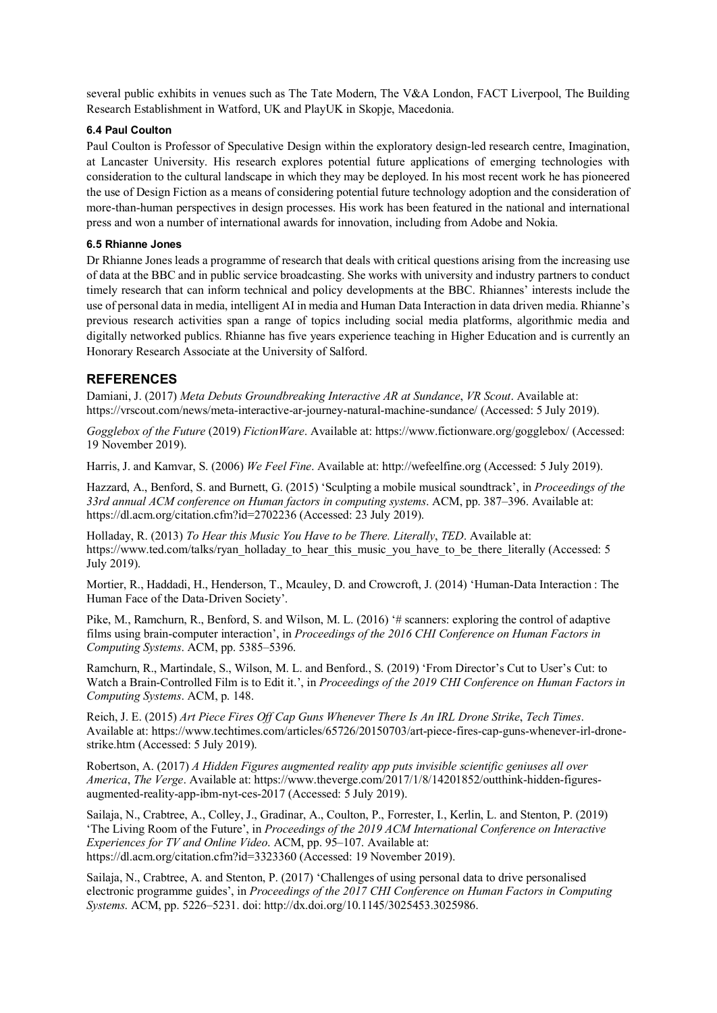several public exhibits in venues such as The Tate Modern, The V&A London, FACT Liverpool, The Building Research Establishment in Watford, UK and PlayUK in Skopje, Macedonia.

#### **6.4 Paul Coulton**

Paul Coulton is Professor of Speculative Design within the exploratory design-led research centre, Imagination, at Lancaster University. His research explores potential future applications of emerging technologies with consideration to the cultural landscape in which they may be deployed. In his most recent work he has pioneered the use of Design Fiction as a means of considering potential future technology adoption and the consideration of more-than-human perspectives in design processes. His work has been featured in the national and international press and won a number of international awards for innovation, including from Adobe and Nokia.

#### **6.5 Rhianne Jones**

Dr Rhianne Jones leads a programme of research that deals with critical questions arising from the increasing use of data at the BBC and in public service broadcasting. She works with university and industry partners to conduct timely research that can inform technical and policy developments at the BBC. Rhiannes' interests include the use of personal data in media, intelligent AI in media and Human Data Interaction in data driven media. Rhianne's previous research activities span a range of topics including social media platforms, algorithmic media and digitally networked publics. Rhianne has five years experience teaching in Higher Education and is currently an Honorary Research Associate at the University of Salford.

#### **REFERENCES**

Damiani, J. (2017) *Meta Debuts Groundbreaking Interactive AR at Sundance*, *VR Scout*. Available at: https://vrscout.com/news/meta-interactive-ar-journey-natural-machine-sundance/ (Accessed: 5 July 2019).

*Gogglebox of the Future* (2019) *FictionWare*. Available at: https://www.fictionware.org/gogglebox/ (Accessed: 19 November 2019).

Harris, J. and Kamvar, S. (2006) *We Feel Fine*. Available at: http://wefeelfine.org (Accessed: 5 July 2019).

Hazzard, A., Benford, S. and Burnett, G. (2015) 'Sculpting a mobile musical soundtrack', in *Proceedings of the 33rd annual ACM conference on Human factors in computing systems*. ACM, pp. 387–396. Available at: https://dl.acm.org/citation.cfm?id=2702236 (Accessed: 23 July 2019).

Holladay, R. (2013) *To Hear this Music You Have to be There. Literally*, *TED*. Available at: https://www.ted.com/talks/ryan\_holladay\_to\_hear\_this\_music\_you\_have\_to\_be\_there\_literally (Accessed: 5 July 2019).

Mortier, R., Haddadi, H., Henderson, T., Mcauley, D. and Crowcroft, J. (2014) 'Human-Data Interaction : The Human Face of the Data-Driven Society'.

Pike, M., Ramchurn, R., Benford, S. and Wilson, M. L. (2016) '# scanners: exploring the control of adaptive films using brain-computer interaction', in *Proceedings of the 2016 CHI Conference on Human Factors in Computing Systems*. ACM, pp. 5385–5396.

Ramchurn, R., Martindale, S., Wilson, M. L. and Benford., S. (2019) 'From Director's Cut to User's Cut: to Watch a Brain-Controlled Film is to Edit it.', in *Proceedings of the 2019 CHI Conference on Human Factors in Computing Systems*. ACM, p. 148.

Reich, J. E. (2015) *Art Piece Fires Off Cap Guns Whenever There Is An IRL Drone Strike*, *Tech Times*. Available at: https://www.techtimes.com/articles/65726/20150703/art-piece-fires-cap-guns-whenever-irl-dronestrike.htm (Accessed: 5 July 2019).

Robertson, A. (2017) *A Hidden Figures augmented reality app puts invisible scientific geniuses all over America*, *The Verge*. Available at: https://www.theverge.com/2017/1/8/14201852/outthink-hidden-figuresaugmented-reality-app-ibm-nyt-ces-2017 (Accessed: 5 July 2019).

Sailaja, N., Crabtree, A., Colley, J., Gradinar, A., Coulton, P., Forrester, I., Kerlin, L. and Stenton, P. (2019) 'The Living Room of the Future', in *Proceedings of the 2019 ACM International Conference on Interactive Experiences for TV and Online Video*. ACM, pp. 95–107. Available at: https://dl.acm.org/citation.cfm?id=3323360 (Accessed: 19 November 2019).

Sailaja, N., Crabtree, A. and Stenton, P. (2017) 'Challenges of using personal data to drive personalised electronic programme guides', in *Proceedings of the 2017 CHI Conference on Human Factors in Computing Systems*. ACM, pp. 5226–5231. doi: http://dx.doi.org/10.1145/3025453.3025986.